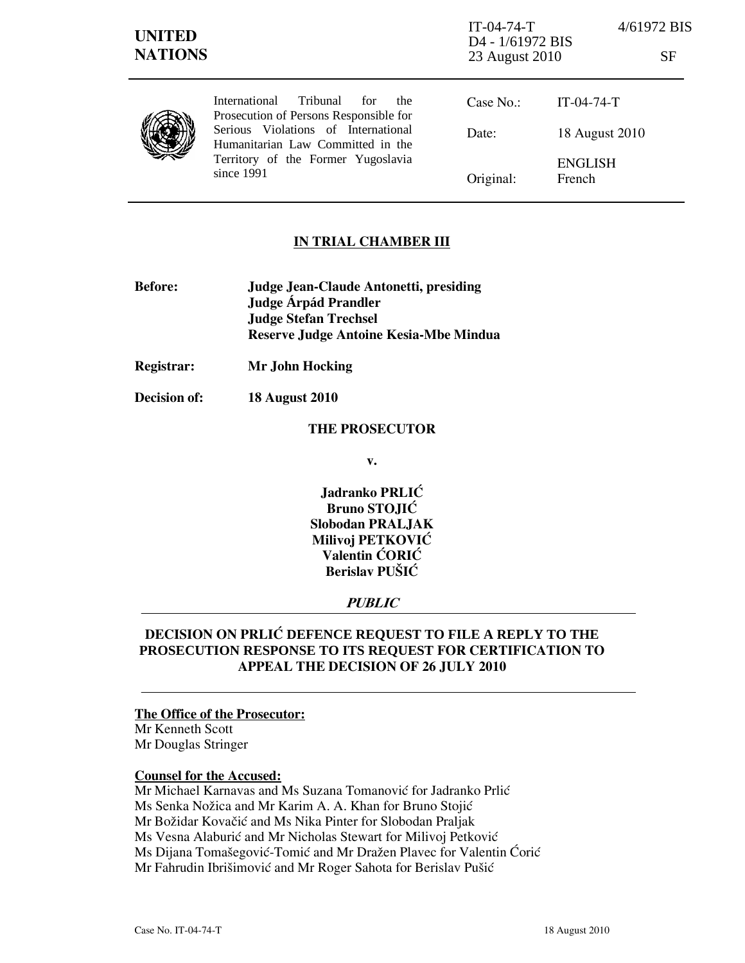| <b>UNITED</b><br><b>NATIONS</b> |                                                                                                                                                                                                                          | $IT-04-74-T$<br>D <sub>4</sub> - 1/61972 BIS<br>23 August 2010 | 4/61972 BIS<br>SF        |  |
|---------------------------------|--------------------------------------------------------------------------------------------------------------------------------------------------------------------------------------------------------------------------|----------------------------------------------------------------|--------------------------|--|
|                                 | Tribunal<br><b>International</b><br>for<br>the<br>Prosecution of Persons Responsible for<br>Serious Violations of International<br>Humanitarian Law Committed in the<br>Territory of the Former Yugoslavia<br>since 1991 | Case No.:                                                      | $IT-04-74-T$             |  |
|                                 |                                                                                                                                                                                                                          | Date:                                                          | 18 August 2010           |  |
|                                 |                                                                                                                                                                                                                          | Original:                                                      | <b>ENGLISH</b><br>French |  |

## IN TRIAL CHAMBER III

- Before: Judge Jean-Claude Antonetti, presiding Judge **Árpád Prandler**  Judge Stefan Trechsel Reserve Judge Antoine Kesia-Mbe Mindua
- Registrar: Mr John Hocking

Decision of: 18 August 2010

#### THE PROSECUTOR

v.

Jadranko PRLIĆ Bruno STOJIĆ Slobodan PRALJAK Milivoj PETKOVIĆ Valentin ĆORIĆ Berislav PUŠIĆ

## PUBLIC

## DECISION ON PRLI] **DEFENCE REQUEST TO FILE A REPLY TO THE PROSECUTION RESPONSE TO ITS REQUEST** FOR CERTIFICATION TO APPEAL THE DECISION OF 26 JULY 2010

#### The Office of the Prosecutor:

Mr Kenneth Scott Mr Douglas Stringer

### Counsel for the Accused:

Mr Michael Karnavas and Ms Suzana Tomanović for Jadranko Prlić Ms Senka Nožica and Mr Karim A. A. Khan for Bruno Stojić Mr Božidar Kovačić and Ms Nika Pinter for Slobodan Praljak Ms Vesna Alaburić and Mr Nicholas Stewart for Milivoj Petković Ms Dijana Tomašegović-Tomić and Mr Dražen Plavec for Valentin Ćorić Mr Fahrudin Ibrišimović and Mr Roger Sahota for Berislav Pušić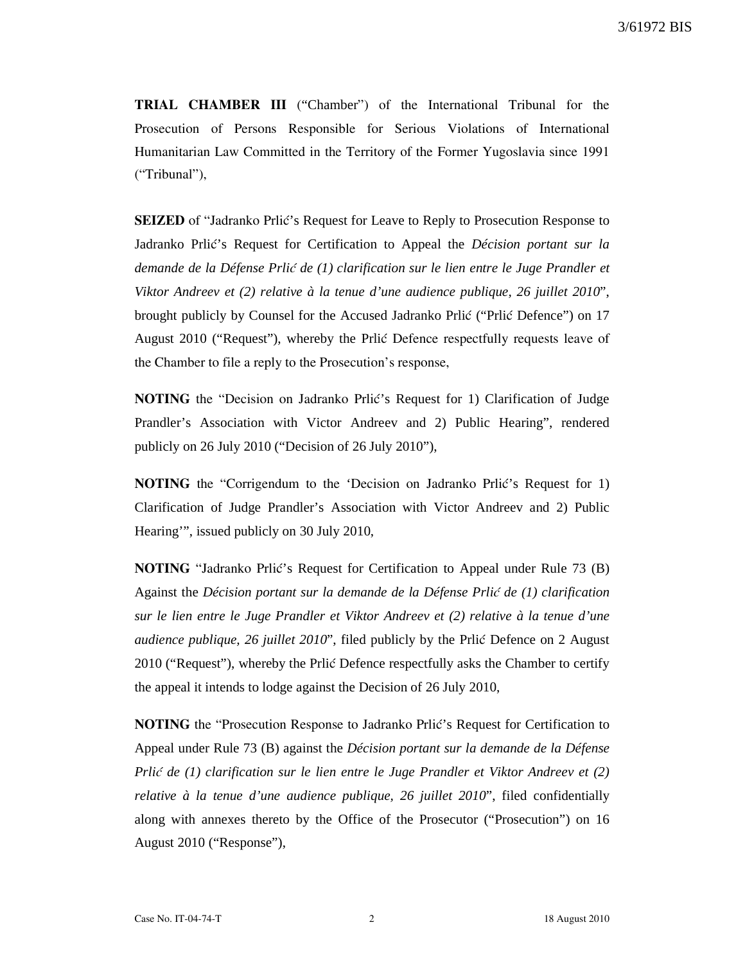TRIAL CHAMBER III ("Chamber") of the International Tribunal for the Prosecution of Persons Responsible for Serious Violations of International Humanitarian Law Committed in the Territory of the Former Yugoslavia since 1991 ("Tribunal"),

**SEIZED** of "Jadranko Prlić's Request for Leave to Reply to Prosecution Response to Jadranko Prlić's Request for Certification to Appeal the *Décision portant sur la demande de la Défense Prli*} *de (1) clarification sur le lien entre le Juge Prandler et Viktor Andreev et (2) relative à la tenue d'une audience publique, 26 juillet 2010*", brought publicly by Counsel for the Accused Jadranko Prlić ("Prlić Defence") on 17 August 2010 ("Request"), whereby the Prlić Defence respectfully requests leave of the Chamber to file a reply to the Prosecution's response,

NOTING the "Decision on Jadranko Prlić's Request for 1) Clarification of Judge Prandler's Association with Victor Andreev and 2) Public Hearing", rendered publicly on 26 July 2010 ("Decision of 26 July 2010"),

NOTING the "Corrigendum to the 'Decision on Jadranko Prlić's Request for 1) Clarification of Judge Prandler's Association with Victor Andreev and 2) Public Hearing'", issued publicly on 30 July 2010,

NOTING "Jadranko Prlić's Request for Certification to Appeal under Rule 73 (B) Against the *Décision portant sur la demande de la Défense Prli*} *de (1) clarification sur le lien entre le Juge Prandler et Viktor Andreev et (2) relative à la tenue d'une audience publique, 26 juillet 2010*", filed publicly by the Prlić Defence on 2 August 2010 ("Request"), whereby the Prlic Defence respectfully asks the Chamber to certify the appeal it intends to lodge against the Decision of 26 July 2010,

**NOTING** the "Prosecution Response to Jadranko Prlić's Request for Certification to Appeal under Rule 73 (B) against the *Décision portant sur la demande de la Défense Prli*} *de (1) clarification sur le lien entre le Juge Prandler et Viktor Andreev et (2) relative à la tenue d'une audience publique, 26 juillet 2010*", filed confidentially along with annexes thereto by the Office of the Prosecutor ("Prosecution") on 16 August 2010 ("Response"),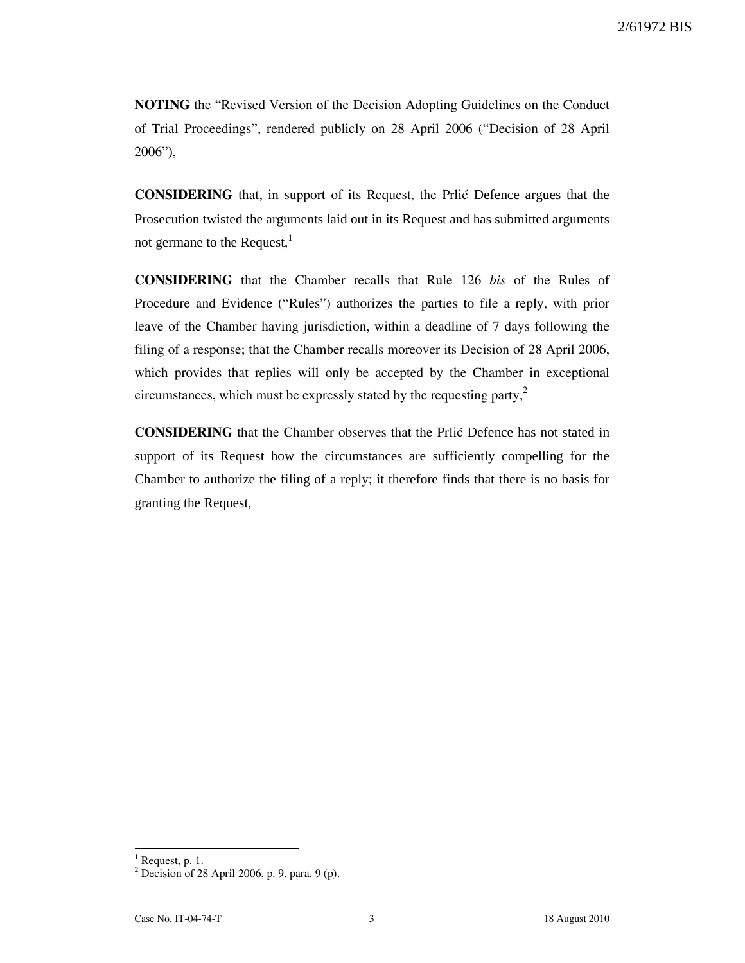NOTING the "Revised Version of the Decision Adopting Guidelines on the Conduct of Trial Proceedings", rendered publicly on 28 April 2006 ("Decision of 28 April 2006"),

CONSIDERING that, in support of its Request, the Prli} Defence argues that the Prosecution twisted the arguments laid out in its Request and has submitted arguments not germane to the Request, $<sup>1</sup>$ </sup>

CONSIDERING that the Chamber recalls that Rule 126 bis of the Rules of Procedure and Evidence ("Rules") authorizes the parties to file a reply, with prior leave of the Chamber having jurisdiction, within a deadline of 7 days following the filing of a response; that the Chamber recalls moreover its Decision of 28 April 2006, which provides that replies will only be accepted by the Chamber in exceptional circumstances, which must be expressly stated by the requesting party, $2$ 

CONSIDERING that the Chamber observes that the Prli} Defence has not stated in support of its Request how the circumstances are sufficiently compelling for the Chamber to authorize the filing of a reply; it therefore finds that there is no basis for granting the Request,

 $\overline{a}$ 

 $<sup>1</sup>$  Request, p. 1.</sup>

<sup>2</sup> Decision of 28 April 2006, p. 9, para. 9 (p).